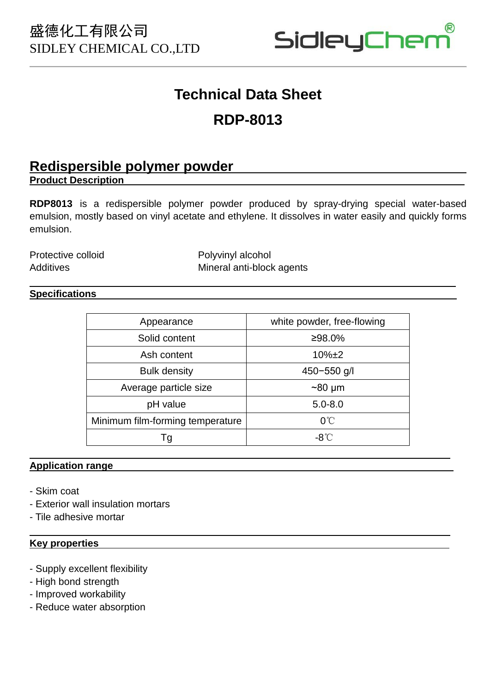

# **Technical Data Sheet**

# **RDP-8013**

## **Redispersible polymer powder**

**Product Description**

**RDP8013** is a redispersible polymer powder produced by spray-drying special water-based emulsion, mostly based on vinyl acetate and ethylene. It dissolves in water easily and quickly forms emulsion.

Protective colloid Protective Colloid Polyvinyl alcohol Additives Mineral anti-block agents

### **Specifications**

 $\overline{a}$ 

| Appearance                       | white powder, free-flowing |
|----------------------------------|----------------------------|
| Solid content                    | ≥98.0%                     |
| Ash content                      | $10\%$ $\pm 2$             |
| <b>Bulk density</b>              | 450-550 g/l                |
| Average particle size            | $~80 \mu m$                |
| pH value                         | $5.0 - 8.0$                |
| Minimum film-forming temperature | $0^{\circ}$ C              |
| Τg                               | -8℃                        |

#### **Application range**

- Skim coat

 $\overline{\phantom{a}}$ 

 $\overline{\phantom{a}}$ 

- Exterior wall insulation mortars
- Tile adhesive mortar

#### **Key properties**

- Supply excellent flexibility
- High bond strength
- Improved workability
- Reduce water absorption